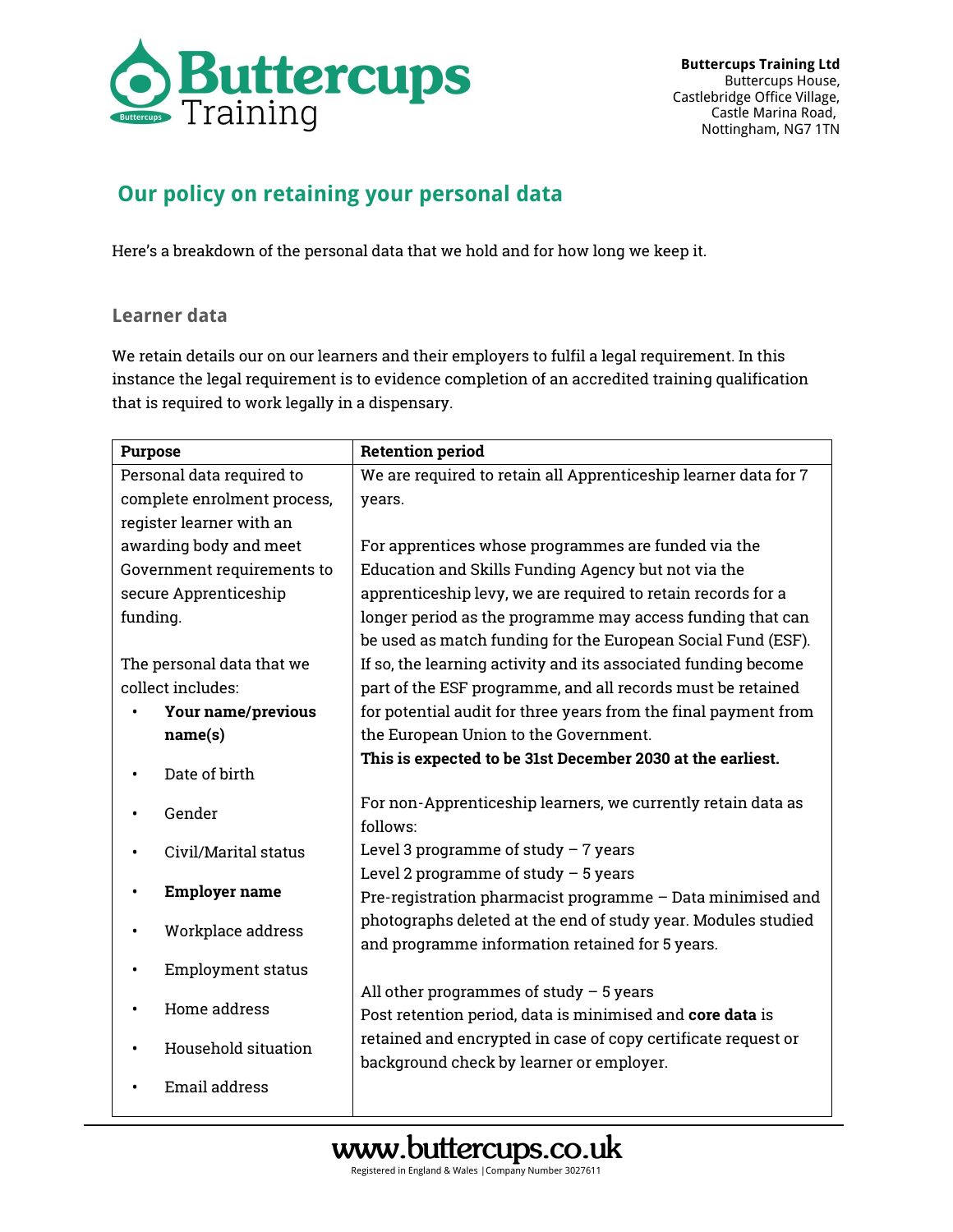

## **Our policy on retaining your personal data**

Here's a breakdown of the personal data that we hold and for how long we keep it.

## **Learner data**

We retain details our on our learners and their employers to fulfil a legal requirement. In this instance the legal requirement is to evidence completion of an accredited training qualification that is required to work legally in a dispensary.

| <b>Purpose</b>              | <b>Retention period</b>                                         |
|-----------------------------|-----------------------------------------------------------------|
| Personal data required to   | We are required to retain all Apprenticeship learner data for 7 |
| complete enrolment process, | years.                                                          |
| register learner with an    |                                                                 |
| awarding body and meet      | For apprentices whose programmes are funded via the             |
| Government requirements to  | Education and Skills Funding Agency but not via the             |
| secure Apprenticeship       | apprenticeship levy, we are required to retain records for a    |
| funding.                    | longer period as the programme may access funding that can      |
|                             | be used as match funding for the European Social Fund (ESF).    |
| The personal data that we   | If so, the learning activity and its associated funding become  |
| collect includes:           | part of the ESF programme, and all records must be retained     |
| Your name/previous          | for potential audit for three years from the final payment from |
| name(s)                     | the European Union to the Government.                           |
| Date of birth               | This is expected to be 31st December 2030 at the earliest.      |
|                             | For non-Apprenticeship learners, we currently retain data as    |
| Gender                      | follows:                                                        |
| Civil/Marital status        | Level 3 programme of study $-7$ years                           |
|                             | Level 2 programme of study $-5$ years                           |
| <b>Employer name</b>        | Pre-registration pharmacist programme - Data minimised and      |
| Workplace address           | photographs deleted at the end of study year. Modules studied   |
|                             | and programme information retained for 5 years.                 |
| <b>Employment status</b>    |                                                                 |
| Home address                | All other programmes of study $-5$ years                        |
|                             | Post retention period, data is minimised and core data is       |
| Household situation         | retained and encrypted in case of copy certificate request or   |
|                             | background check by learner or employer.                        |
| <b>Email address</b>        |                                                                 |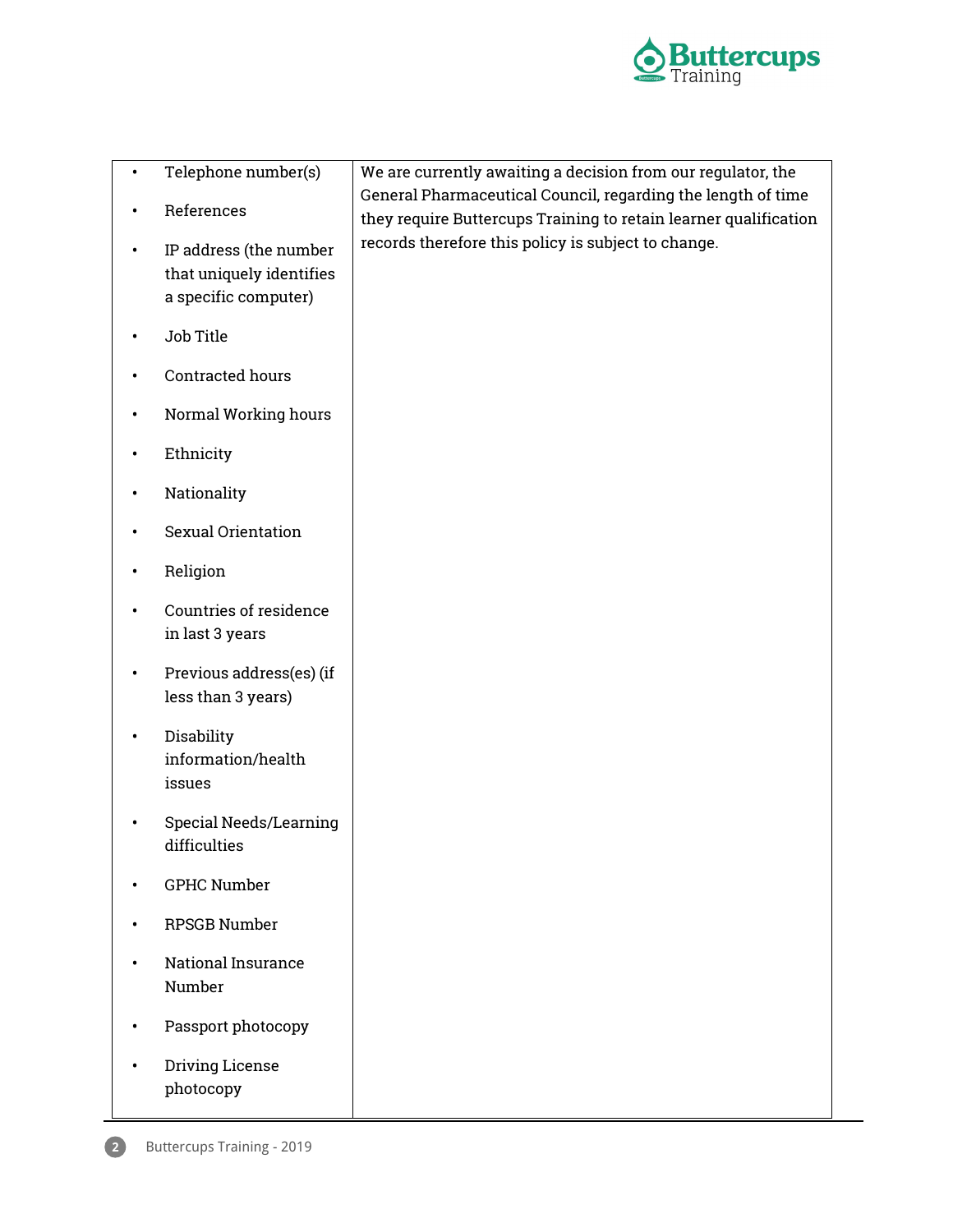

| $\bullet$ | Telephone number(s)                                                        | We are currently awaiting a decision from our regulator, the                                                                     |
|-----------|----------------------------------------------------------------------------|----------------------------------------------------------------------------------------------------------------------------------|
|           | References                                                                 | General Pharmaceutical Council, regarding the length of time<br>they require Buttercups Training to retain learner qualification |
|           | IP address (the number<br>that uniquely identifies<br>a specific computer) | records therefore this policy is subject to change.                                                                              |
|           | Job Title                                                                  |                                                                                                                                  |
|           | Contracted hours                                                           |                                                                                                                                  |
|           | Normal Working hours                                                       |                                                                                                                                  |
|           | Ethnicity                                                                  |                                                                                                                                  |
|           | Nationality                                                                |                                                                                                                                  |
|           | Sexual Orientation                                                         |                                                                                                                                  |
| ٠         | Religion                                                                   |                                                                                                                                  |
| ٠         | Countries of residence<br>in last 3 years                                  |                                                                                                                                  |
| $\bullet$ | Previous address(es) (if<br>less than 3 years)                             |                                                                                                                                  |
| ٠         | Disability<br>information/health<br>issues                                 |                                                                                                                                  |
|           | <b>Special Needs/Learning</b><br>difficulties                              |                                                                                                                                  |
|           | <b>GPHC Number</b>                                                         |                                                                                                                                  |
|           | <b>RPSGB Number</b>                                                        |                                                                                                                                  |
|           | <b>National Insurance</b><br>Number                                        |                                                                                                                                  |
|           | Passport photocopy                                                         |                                                                                                                                  |
|           | Driving License<br>photocopy                                               |                                                                                                                                  |

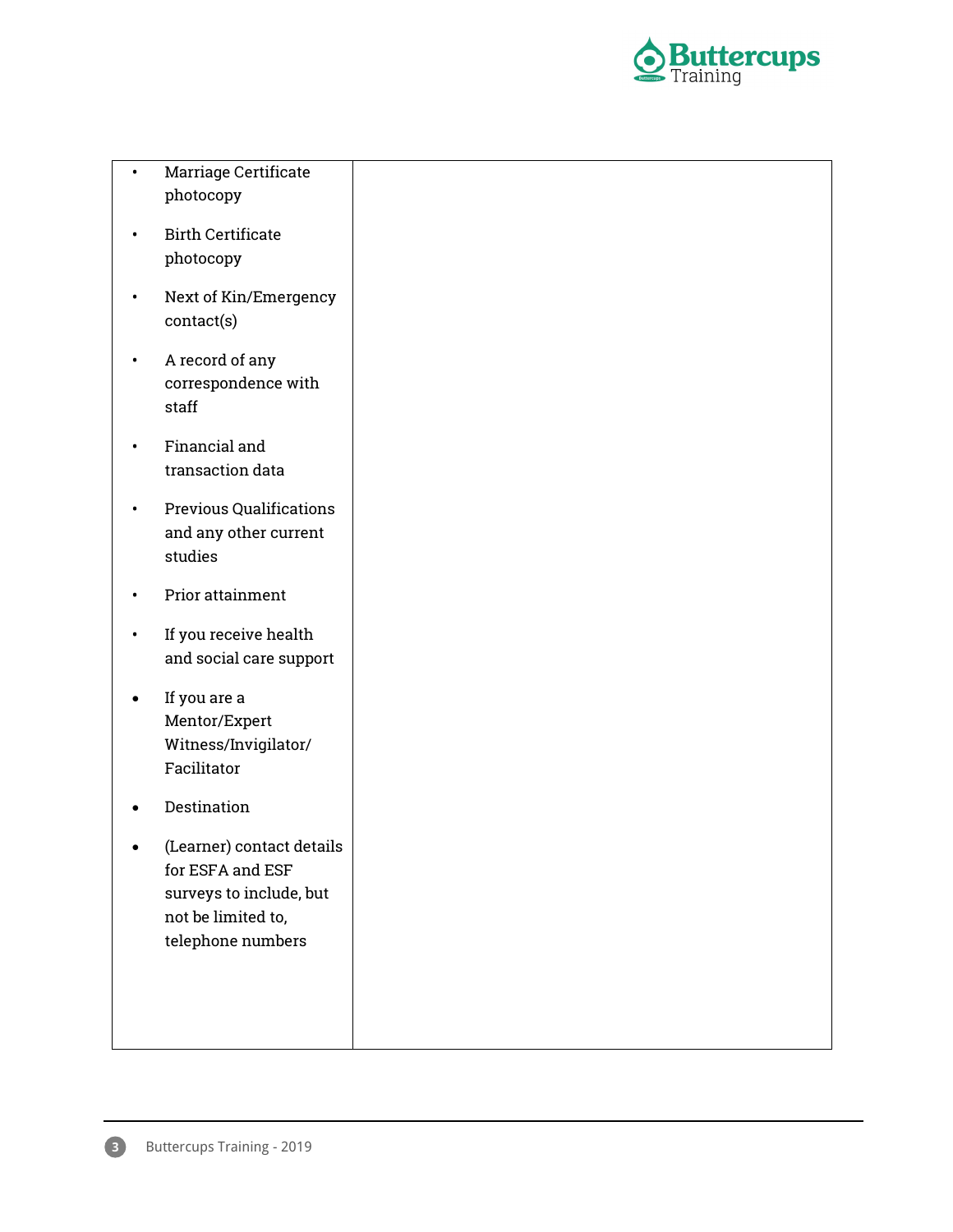

| <b>Marriage Certificate</b> |  |
|-----------------------------|--|
| photocopy                   |  |

- Birth Certificate photocopy
- Next of Kin/Emergency contact(s)
- A record of any correspondence with staff
- Financial and transaction data
- Previous Qualifications and any other current studies
- Prior attainment
- If you receive health and social care support
- If you are a Mentor/Expert Witness/Invigilator/ Facilitator
- Destination
- (Learner) contact details for ESFA and ESF surveys to include, but not be limited to, telephone numbers